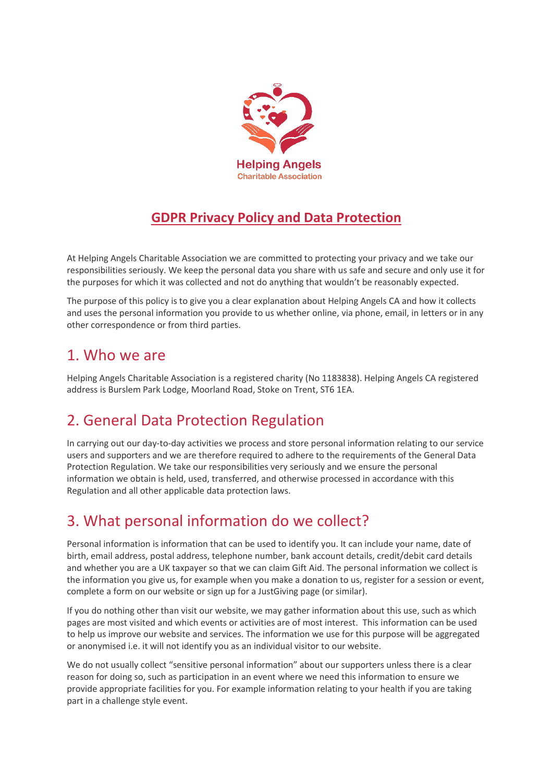

### **GDPR Privacy Policy and Data Protection**

At Helping Angels Charitable Association we are committed to protecting your privacy and we take our responsibilities seriously. We keep the personal data you share with us safe and secure and only use it for the purposes for which it was collected and not do anything that wouldn't be reasonably expected.

The purpose of this policy is to give you a clear explanation about Helping Angels CA and how it collects and uses the personal information you provide to us whether online, via phone, email, in letters or in any other correspondence or from third parties.

### 1. Who we are

Helping Angels Charitable Association is a registered charity (No 1183838). Helping Angels CA registered address is Burslem Park Lodge, Moorland Road, Stoke on Trent, ST6 1EA.

## 2. General Data Protection Regulation

In carrying out our day-to-day activities we process and store personal information relating to our service users and supporters and we are therefore required to adhere to the requirements of the General Data Protection Regulation. We take our responsibilities very seriously and we ensure the personal information we obtain is held, used, transferred, and otherwise processed in accordance with this Regulation and all other applicable data protection laws.

## 3. What personal information do we collect?

Personal information is information that can be used to identify you. It can include your name, date of birth, email address, postal address, telephone number, bank account details, credit/debit card details and whether you are a UK taxpayer so that we can claim Gift Aid. The personal information we collect is the information you give us, for example when you make a donation to us, register for a session or event, complete a form on our website or sign up for a JustGiving page (or similar).

If you do nothing other than visit our website, we may gather information about this use, such as which pages are most visited and which events or activities are of most interest. This information can be used to help us improve our website and services. The information we use for this purpose will be aggregated or anonymised i.e. it will not identify you as an individual visitor to our website.

We do not usually collect "sensitive personal information" about our supporters unless there is a clear reason for doing so, such as participation in an event where we need this information to ensure we provide appropriate facilities for you. For example information relating to your health if you are taking part in a challenge style event.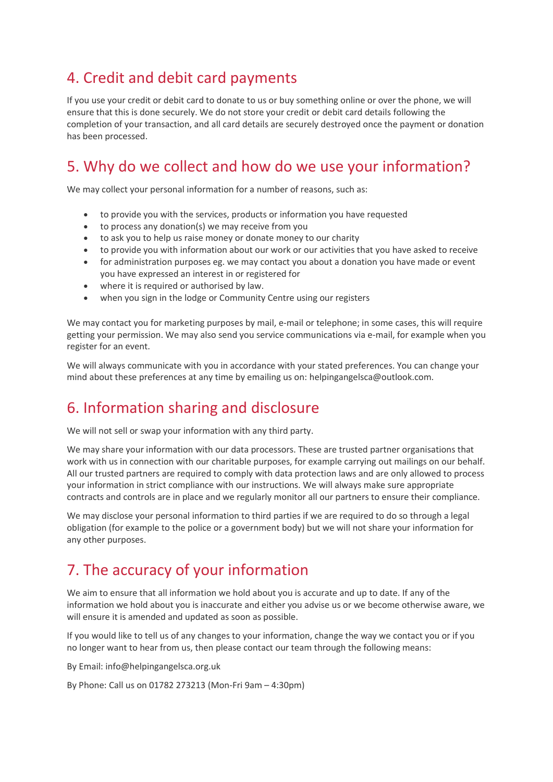## 4. Credit and debit card payments

If you use your credit or debit card to donate to us or buy something online or over the phone, we will ensure that this is done securely. We do not store your credit or debit card details following the completion of your transaction, and all card details are securely destroyed once the payment or donation has been processed.

# 5. Why do we collect and how do we use your information?

We may collect your personal information for a number of reasons, such as:

- to provide you with the services, products or information you have requested
- to process any donation(s) we may receive from you
- to ask you to help us raise money or donate money to our charity
- to provide you with information about our work or our activities that you have asked to receive
- for administration purposes eg. we may contact you about a donation you have made or event you have expressed an interest in or registered for
- where it is required or authorised by law.
- when you sign in the lodge or Community Centre using our registers

We may contact you for marketing purposes by mail, e-mail or telephone; in some cases, this will require getting your permission. We may also send you service communications via e-mail, for example when you register for an event.

We will always communicate with you in accordance with your stated preferences. You can change your mind about these preferences at any time by emailing us on: helpingangelsca@outlook.com.

## 6. Information sharing and disclosure

We will not sell or swap your information with any third party.

We may share your information with our data processors. These are trusted partner organisations that work with us in connection with our charitable purposes, for example carrying out mailings on our behalf. All our trusted partners are required to comply with data protection laws and are only allowed to process your information in strict compliance with our instructions. We will always make sure appropriate contracts and controls are in place and we regularly monitor all our partners to ensure their compliance.

We may disclose your personal information to third parties if we are required to do so through a legal obligation (for example to the police or a government body) but we will not share your information for any other purposes.

## 7. The accuracy of your information

We aim to ensure that all information we hold about you is accurate and up to date. If any of the information we hold about you is inaccurate and either you advise us or we become otherwise aware, we will ensure it is amended and updated as soon as possible.

If you would like to tell us of any changes to your information, change the way we contact you or if you no longer want to hear from us, then please contact our team through the following means:

By Email: info@helpingangelsca.org.uk

By Phone: Call us on 01782 273213 (Mon-Fri 9am – 4:30pm)